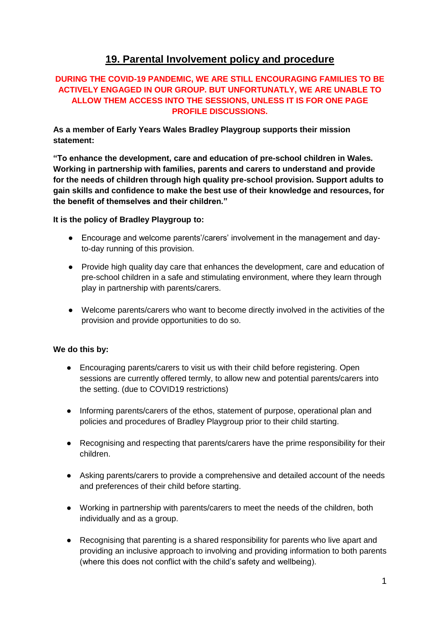## **19. Parental Involvement policy and procedure**

## **DURING THE COVID-19 PANDEMIC, WE ARE STILL ENCOURAGING FAMILIES TO BE ACTIVELY ENGAGED IN OUR GROUP. BUT UNFORTUNATLY, WE ARE UNABLE TO ALLOW THEM ACCESS INTO THE SESSIONS, UNLESS IT IS FOR ONE PAGE PROFILE DISCUSSIONS.**

**As a member of Early Years Wales Bradley Playgroup supports their mission statement:**

**"To enhance the development, care and education of pre-school children in Wales. Working in partnership with families, parents and carers to understand and provide for the needs of children through high quality pre-school provision. Support adults to gain skills and confidence to make the best use of their knowledge and resources, for the benefit of themselves and their children."**

**It is the policy of Bradley Playgroup to:** 

- Encourage and welcome parents'/carers' involvement in the management and dayto-day running of this provision.
- Provide high quality day care that enhances the development, care and education of pre-school children in a safe and stimulating environment, where they learn through play in partnership with parents/carers.
- Welcome parents/carers who want to become directly involved in the activities of the provision and provide opportunities to do so.

## **We do this by:**

- Encouraging parents/carers to visit us with their child before registering. Open sessions are currently offered termly, to allow new and potential parents/carers into the setting. (due to COVID19 restrictions)
- Informing parents/carers of the ethos, statement of purpose, operational plan and policies and procedures of Bradley Playgroup prior to their child starting.
- Recognising and respecting that parents/carers have the prime responsibility for their children.
- Asking parents/carers to provide a comprehensive and detailed account of the needs and preferences of their child before starting.
- Working in partnership with parents/carers to meet the needs of the children, both individually and as a group.
- Recognising that parenting is a shared responsibility for parents who live apart and providing an inclusive approach to involving and providing information to both parents (where this does not conflict with the child's safety and wellbeing).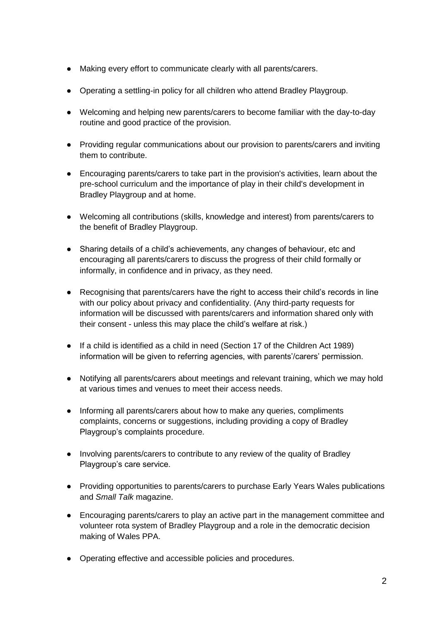- Making every effort to communicate clearly with all parents/carers.
- Operating a settling-in policy for all children who attend Bradley Playgroup.
- Welcoming and helping new parents/carers to become familiar with the day-to-day routine and good practice of the provision.
- Providing regular communications about our provision to parents/carers and inviting them to contribute.
- Encouraging parents/carers to take part in the provision's activities, learn about the pre-school curriculum and the importance of play in their child's development in Bradley Playgroup and at home.
- Welcoming all contributions (skills, knowledge and interest) from parents/carers to the benefit of Bradley Playgroup.
- Sharing details of a child's achievements, any changes of behaviour, etc and encouraging all parents/carers to discuss the progress of their child formally or informally, in confidence and in privacy, as they need.
- Recognising that parents/carers have the right to access their child's records in line with our policy about privacy and confidentiality. (Any third-party requests for information will be discussed with parents/carers and information shared only with their consent - unless this may place the child's welfare at risk.)
- If a child is identified as a child in need (Section 17 of the Children Act 1989) information will be given to referring agencies, with parents'/carers' permission.
- Notifying all parents/carers about meetings and relevant training, which we may hold at various times and venues to meet their access needs.
- Informing all parents/carers about how to make any queries, compliments complaints, concerns or suggestions, including providing a copy of Bradley Playgroup's complaints procedure.
- Involving parents/carers to contribute to any review of the quality of Bradley Playgroup's care service.
- Providing opportunities to parents/carers to purchase Early Years Wales publications and *Small Talk* magazine.
- Encouraging parents/carers to play an active part in the management committee and volunteer rota system of Bradley Playgroup and a role in the democratic decision making of Wales PPA.
- Operating effective and accessible policies and procedures.